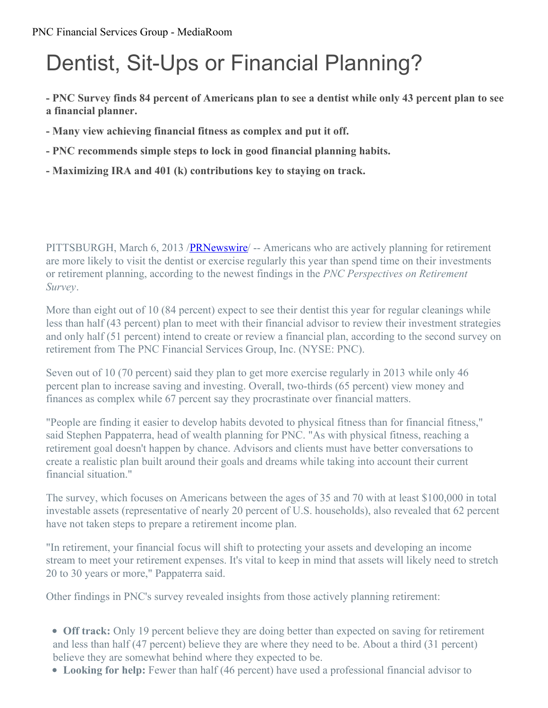### PNC Financial Services Group - MediaRoom

# Dentist, Sit-Ups or Financial Planning?

- PNC Survey finds 84 percent of Americans plan to see a dentist while only 43 percent plan to see **a financial planner.**

- **- Many view achieving financial fitness as complex and put it off.**
- **- PNC recommends simple steps to lock in good financial planning habits.**
- **- Maximizing IRA and 401 (k) contributions key to staying on track.**

PITTSBURGH, March 6, 2013 /[PRNewswire](http://www.prnewswire.com/)/ -- Americans who are actively planning for retirement are more likely to visit the dentist or exercise regularly this year than spend time on their investments or retirement planning, according to the newest findings in the *PNC Perspectives on Retirement Survey*.

More than eight out of 10 (84 percent) expect to see their dentist this year for regular cleanings while less than half (43 percent) plan to meet with their financial advisor to review their investment strategies and only half (51 percent) intend to create or review a financial plan, according to the second survey on retirement from The PNC Financial Services Group, Inc. (NYSE: PNC).

Seven out of 10 (70 percent) said they plan to get more exercise regularly in 2013 while only 46 percent plan to increase saving and investing. Overall, two-thirds (65 percent) view money and finances as complex while 67 percent say they procrastinate over financial matters.

"People are finding it easier to develop habits devoted to physical fitness than for financial fitness," said Stephen Pappaterra, head of wealth planning for PNC. "As with physical fitness, reaching a retirement goal doesn't happen by chance. Advisors and clients must have better conversations to create a realistic plan built around their goals and dreams while taking into account their current financial situation."

The survey, which focuses on Americans between the ages of 35 and 70 with at least \$100,000 in total investable assets (representative of nearly 20 percent of U.S. households), also revealed that 62 percent have not taken steps to prepare a retirement income plan.

"In retirement, your financial focus will shift to protecting your assets and developing an income stream to meet your retirement expenses. It's vital to keep in mind that assets will likely need to stretch 20 to 30 years or more," Pappaterra said.

Other findings in PNC's survey revealed insights from those actively planning retirement:

- **Off track:** Only 19 percent believe they are doing better than expected on saving for retirement and less than half (47 percent) believe they are where they need to be. About a third (31 percent) believe they are somewhat behind where they expected to be.
- **Looking for help:** Fewer than half (46 percent) have used a professional financial advisor to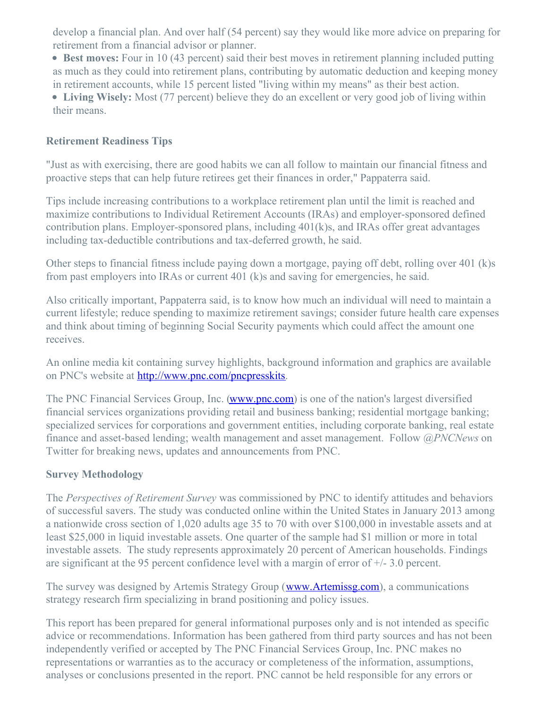develop a financial plan. And over half (54 percent) say they would like more advice on preparing for retirement from a financial advisor or planner.

**Best moves:** Four in 10 (43 percent) said their best moves in retirement planning included putting as much as they could into retirement plans, contributing by automatic deduction and keeping money in retirement accounts, while 15 percent listed "living within my means" as their best action.

**Living Wisely:** Most (77 percent) believe they do an excellent or very good job of living within their means.

### **Retirement Readiness Tips**

"Just as with exercising, there are good habits we can all follow to maintain our financial fitness and proactive steps that can help future retirees get their finances in order," Pappaterra said.

Tips include increasing contributions to a workplace retirement plan until the limit is reached and maximize contributions to Individual Retirement Accounts (IRAs) and employer-sponsored defined contribution plans. Employer-sponsored plans, including 401(k)s, and IRAs offer great advantages including tax-deductible contributions and tax-deferred growth, he said.

Other steps to financial fitness include paying down a mortgage, paying off debt, rolling over 401 (k)s from past employers into IRAs or current 401 (k)s and saving for emergencies, he said.

Also critically important, Pappaterra said, is to know how much an individual will need to maintain a current lifestyle; reduce spending to maximize retirement savings; consider future health care expenses and think about timing of beginning Social Security payments which could affect the amount one receives.

An online media kit containing survey highlights, background information and graphics are available on PNC's website at <http://www.pnc.com/pncpresskits>.

The PNC Financial Services Group, Inc. [\(www.pnc.com](http://www.pnc.com/)) is one of the nation's largest diversified financial services organizations providing retail and business banking; residential mortgage banking; specialized services for corporations and government entities, including corporate banking, real estate finance and asset-based lending; wealth management and asset management. Follow *@PNCNews* on Twitter for breaking news, updates and announcements from PNC.

#### **Survey Methodology**

The *Perspectives of Retirement Survey* was commissioned by PNC to identify attitudes and behaviors of successful savers. The study was conducted online within the United States in January 2013 among a nationwide cross section of 1,020 adults age 35 to 70 with over \$100,000 in investable assets and at least \$25,000 in liquid investable assets. One quarter of the sample had \$1 million or more in total investable assets. The study represents approximately 20 percent of American households. Findings are significant at the 95 percent confidence level with a margin of error of  $+/- 3.0$  percent.

The survey was designed by Artemis Strategy Group ([www.Artemissg.com](http://www.artemissg.com/)), a communications strategy research firm specializing in brand positioning and policy issues.

This report has been prepared for general informational purposes only and is not intended as specific advice or recommendations. Information has been gathered from third party sources and has not been independently verified or accepted by The PNC Financial Services Group, Inc. PNC makes no representations or warranties as to the accuracy or completeness of the information, assumptions, analyses or conclusions presented in the report. PNC cannot be held responsible for any errors or